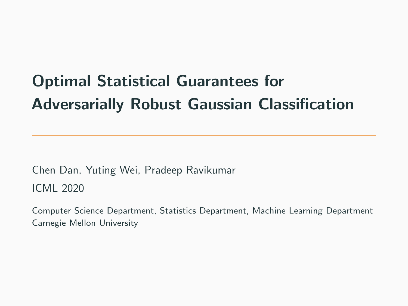# Optimal Statistical Guarantees for Adversarially Robust Gaussian Classification

Chen Dan, Yuting Wei, Pradeep Ravikumar ICML 2020

Computer Science Department, Statistics Department, Machine Learning Department Carnegie Mellon University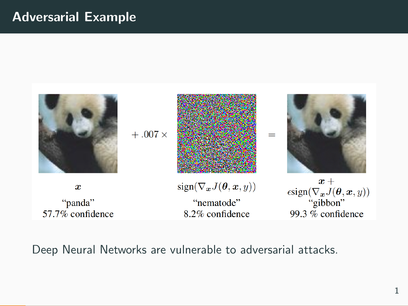# Adversarial Example



Deep Neural Networks are vulnerable to adversarial attacks.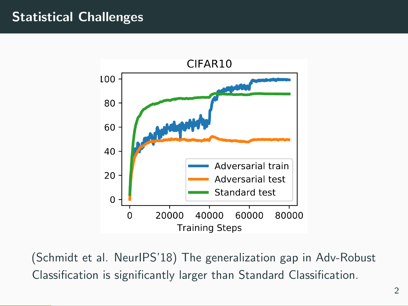# Statistical Challenges



(Schmidt et al. NeurIPS'18) The generalization gap in Adv-Robust Classification is significantly larger than Standard Classification.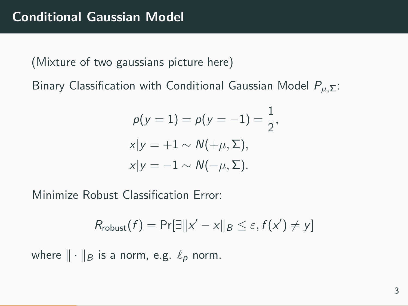(Mixture of two gaussians picture here)

Binary Classification with Conditional Gaussian Model  $P_{\mu,\Sigma}$ :

$$
p(y = 1) = p(y = -1) = \frac{1}{2},
$$
  
\n
$$
x|y = +1 \sim N(+\mu, \Sigma),
$$
  
\n
$$
x|y = -1 \sim N(-\mu, \Sigma).
$$

Minimize Robust Classification Error:

$$
R_{\text{robust}}(f) = \Pr[\exists ||x' - x||_B \leq \varepsilon, f(x') \neq y]
$$

where  $\|\cdot\|_B$  is a norm, e.g.  $\ell_p$  norm.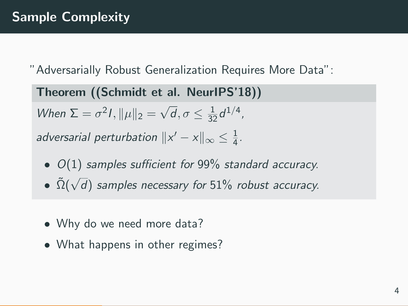"Adversarially Robust Generalization Requires More Data":

Theorem ((Schmidt et al. NeurIPS'18)) When  $\Sigma = \sigma^2 I$ ,  $\|\mu\|_2 =$ √  $\overline{d}, \sigma \leq \frac{1}{32}d^{1/4}$ , adversarial perturbation  $\|x'-x\|_\infty \leq \frac{1}{4}$  $\frac{1}{4}$ .

- $O(1)$  samples sufficient for 99% standard accuracy.
- $\bullet$   $\tilde{\Omega}(\sqrt{})$ d) samples necessary for 51% robust accuracy.
- Why do we need more data?
- What happens in other regimes?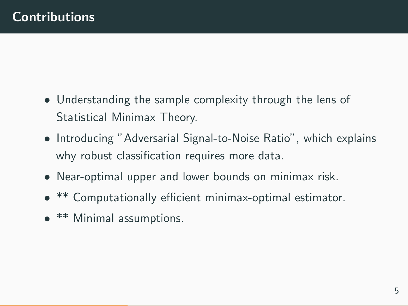- Understanding the sample complexity through the lens of Statistical Minimax Theory.
- Introducing "Adversarial Signal-to-Noise Ratio", which explains why robust classification requires more data.
- Near-optimal upper and lower bounds on minimax risk.
- \*\* Computationally efficient minimax-optimal estimator.
- **\*\*** Minimal assumptions.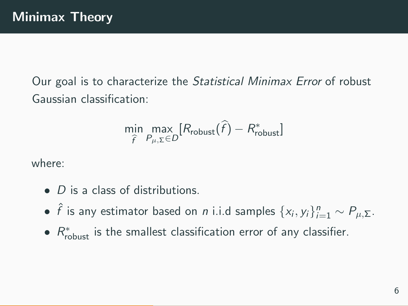Our goal is to characterize the Statistical Minimax Error of robust Gaussian classification:

$$
\min_{\widehat{f}} \max_{P_{\mu, \Sigma} \in D} [R_{\text{robust}}(\widehat{f}) - R_{\text{robust}}^*]
$$

where:

- D is a class of distributions.
- $\hat{f}$  is any estimator based on *n* i.i.d samples  $\{x_i, y_i\}_{i=1}^n \sim P_{\mu, \Sigma}$ .
- $R_{\text{robust}}^{*}$  is the smallest classification error of any classifier.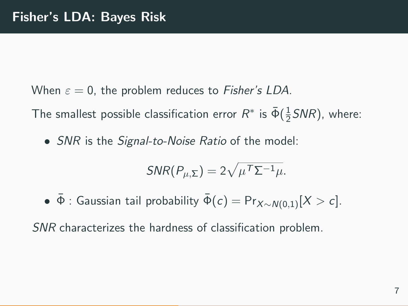When  $\varepsilon = 0$ , the problem reduces to *Fisher's LDA*.

The smallest possible classification error  $R^*$  is  $\bar{\Phi}(\frac{1}{2}SNR)$ , where:

• *SNR* is the *Signal-to-Noise Ratio* of the model:

$$
SNR(P_{\mu,\Sigma}) = 2\sqrt{\mu^{\mathsf{T}}\Sigma^{-1}\mu}.
$$

•  $\bar{\Phi}$ : Gaussian tail probability  $\bar{\Phi}(c) = Pr_{X \sim N(0,1)}[X > c]$ .

SNR characterizes the hardness of classification problem.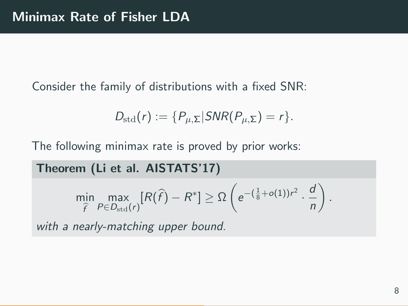Consider the family of distributions with a fixed SNR:

$$
D_{\text{std}}(r) := \{P_{\mu,\Sigma} | \text{SNR}(P_{\mu,\Sigma}) = r \}.
$$

The following minimax rate is proved by prior works:

Theorem (Li et al. AISTATS'17)

$$
\min_{\widehat{f}} \max_{P \in D_{\text{std}}(r)} [R(\widehat{f}) - R^*] \geq \Omega \left( e^{-(\frac{1}{8} + o(1))r^2} \cdot \frac{d}{n} \right).
$$

with a nearly-matching upper bound.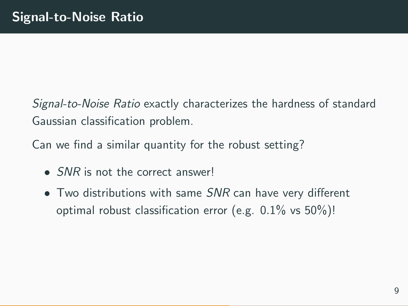Signal-to-Noise Ratio exactly characterizes the hardness of standard Gaussian classification problem.

Can we find a similar quantity for the robust setting?

- SNR is not the correct answer!
- Two distributions with same SNR can have very different optimal robust classification error (e.g. 0.1% vs 50%)!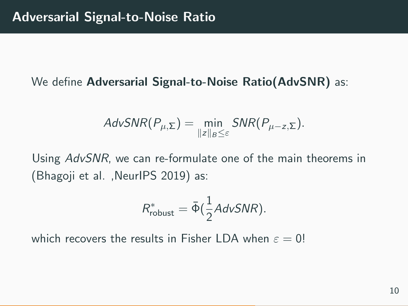#### We define **Adversarial Signal-to-Noise Ratio(AdvSNR)** as:

$$
AdvSNR(P_{\mu,\Sigma}) = \min_{\|z\|_B \leq \varepsilon} SNR(P_{\mu-z,\Sigma}).
$$

Using AdvSNR, we can re-formulate one of the main theorems in (Bhagoji et al. ,NeurIPS 2019) as:

$$
R_{\text{robust}}^* = \bar{\Phi}(\frac{1}{2}AdvSNR).
$$

which recovers the results in Fisher LDA when  $\varepsilon = 0!$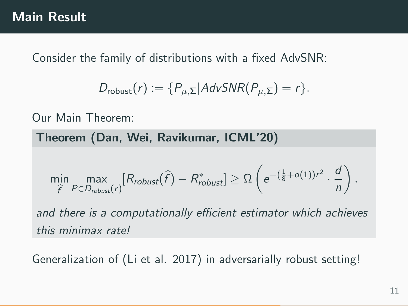## Main Result

Consider the family of distributions with a fixed AdvSNR:

$$
D_{\text{robust}}(r) := \{ P_{\mu,\Sigma} | \text{AdvSNR}(P_{\mu,\Sigma}) = r \}.
$$

Our Main Theorem:

Theorem (Dan, Wei, Ravikumar, ICML'20)

$$
\min_{\widehat{f}} \max_{P \in D_{robust}(r)} [R_{robust}(\widehat{f}) - R_{robust}^*] \geq \Omega \left( e^{-(\frac{1}{8} + o(1))r^2} \cdot \frac{d}{n} \right).
$$

and there is a computationally efficient estimator which achieves this minimax rate!

Generalization of (Li et al. 2017) in adversarially robust setting!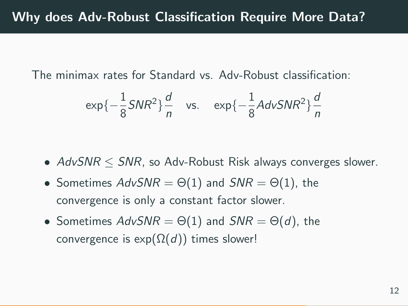The minimax rates for Standard vs. Adv-Robust classification:

$$
exp{-\frac{1}{8}SNR^2}\frac{d}{n}
$$
 vs.  $exp{-\frac{1}{8}AdvSNR^2}\frac{d}{n}$ 

- $AdvSNR \leq SNR$ , so Adv-Robust Risk always converges slower.
- Sometimes  $AdvSNR = \Theta(1)$  and  $SNR = \Theta(1)$ , the convergence is only a constant factor slower.
- Sometimes  $AdvSNR = \Theta(1)$  and  $SNR = \Theta(d)$ , the convergence is  $exp(\Omega(d))$  times slower!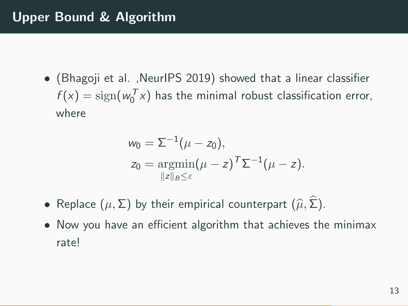• (Bhagoji et al. ,NeurIPS 2019) showed that a linear classifier  $f(x) = \text{sign}(w_0^T x)$  has the minimal robust classification error, where

$$
w_0 = \Sigma^{-1}(\mu - z_0),
$$
  
\n
$$
z_0 = \operatorname*{argmin}_{\|z\|_B \leq \varepsilon} (\mu - z)^T \Sigma^{-1}(\mu - z).
$$

- Replace  $(\mu, \Sigma)$  by their empirical counterpart  $(\widehat{\mu}, \Sigma)$ .
- Now you have an efficient algorithm that achieves the minimax rate!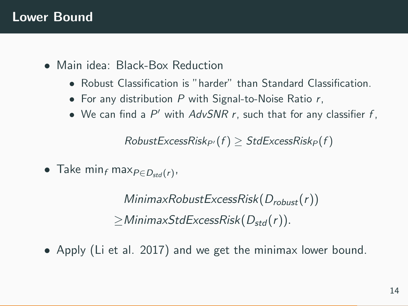### Lower Bound

- Main idea: Black-Box Reduction
	- Robust Classification is "harder" than Standard Classification.
	- For any distribution  $P$  with Signal-to-Noise Ratio  $r$ ,
	- $\bullet$  We can find a P' with AdvSNR r, such that for any classifier f,

 $RobustExcessRisk_P(f) > StdExcessRisk_P(f)$ 

• Take  $\min_f \max_{P \in D_{std}(r)}$ 

 $MinimaxRobustExcessRisk(D_{robust}(r))$  $\geq$ MinimaxStdExcessRisk( $D_{std}(r)$ ).

• Apply (Li et al. 2017) and we get the minimax lower bound.